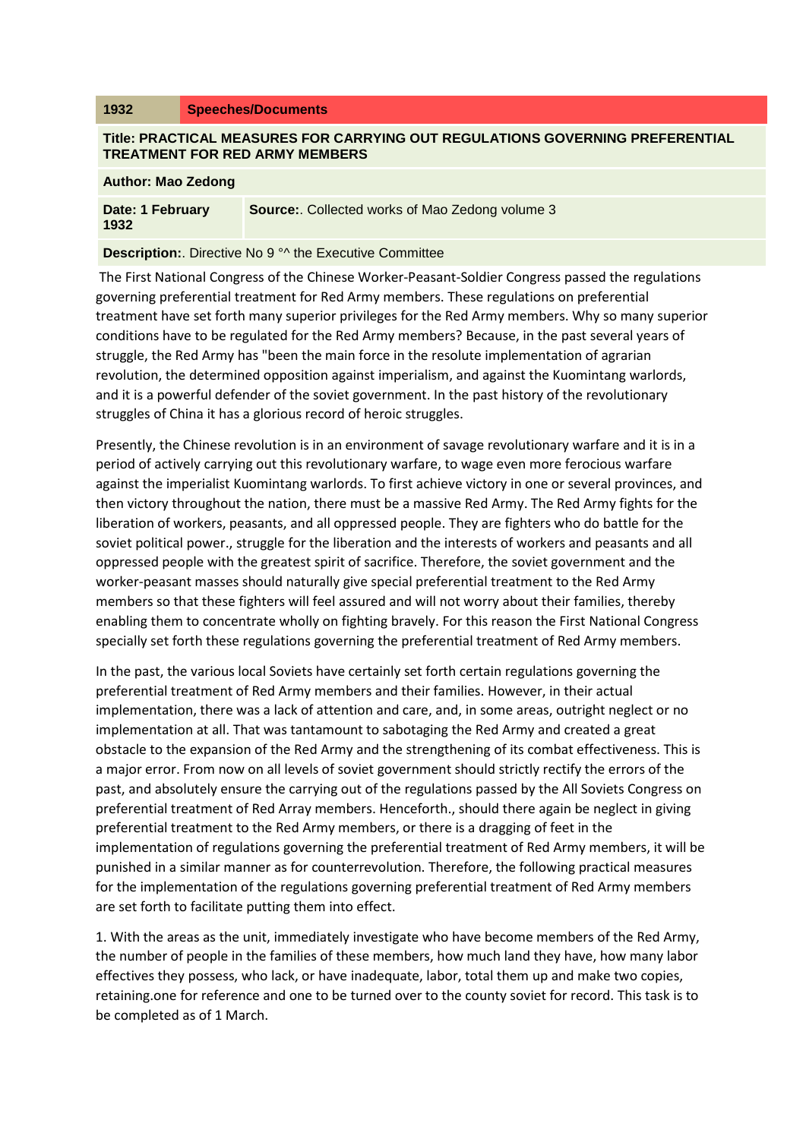## **1932 Speeches/Documents**

## **Title: PRACTICAL MEASURES FOR CARRYING OUT REGULATIONS GOVERNING PREFERENTIAL TREATMENT FOR RED ARMY MEMBERS**

## **Author: Mao Zedong**

| Date: 1 February<br>1932 | <b>Source:.</b> Collected works of Mao Zedong volume 3 |
|--------------------------|--------------------------------------------------------|
|                          |                                                        |

## **Description:.** Directive No 9<sup>°</sup> the Executive Committee

The First National Congress of the Chinese Worker-Peasant-Soldier Congress passed the regulations governing preferential treatment for Red Army members. These regulations on preferential treatment have set forth many superior privileges for the Red Army members. Why so many superior conditions have to be regulated for the Red Army members? Because, in the past several years of struggle, the Red Army has "been the main force in the resolute implementation of agrarian revolution, the determined opposition against imperialism, and against the Kuomintang warlords, and it is a powerful defender of the soviet government. In the past history of the revolutionary struggles of China it has a glorious record of heroic struggles.

Presently, the Chinese revolution is in an environment of savage revolutionary warfare and it is in a period of actively carrying out this revolutionary warfare, to wage even more ferocious warfare against the imperialist Kuomintang warlords. To first achieve victory in one or several provinces, and then victory throughout the nation, there must be a massive Red Army. The Red Army fights for the liberation of workers, peasants, and all oppressed people. They are fighters who do battle for the soviet political power., struggle for the liberation and the interests of workers and peasants and all oppressed people with the greatest spirit of sacrifice. Therefore, the soviet government and the worker-peasant masses should naturally give special preferential treatment to the Red Army members so that these fighters will feel assured and will not worry about their families, thereby enabling them to concentrate wholly on fighting bravely. For this reason the First National Congress specially set forth these regulations governing the preferential treatment of Red Army members.

In the past, the various local Soviets have certainly set forth certain regulations governing the preferential treatment of Red Army members and their families. However, in their actual implementation, there was a lack of attention and care, and, in some areas, outright neglect or no implementation at all. That was tantamount to sabotaging the Red Army and created a great obstacle to the expansion of the Red Army and the strengthening of its combat effectiveness. This is a major error. From now on all levels of soviet government should strictly rectify the errors of the past, and absolutely ensure the carrying out of the regulations passed by the All Soviets Congress on preferential treatment of Red Array members. Henceforth., should there again be neglect in giving preferential treatment to the Red Army members, or there is a dragging of feet in the implementation of regulations governing the preferential treatment of Red Army members, it will be punished in a similar manner as for counterrevolution. Therefore, the following practical measures for the implementation of the regulations governing preferential treatment of Red Army members are set forth to facilitate putting them into effect.

1. With the areas as the unit, immediately investigate who have become members of the Red Army, the number of people in the families of these members, how much land they have, how many labor effectives they possess, who lack, or have inadequate, labor, total them up and make two copies, retaining.one for reference and one to be turned over to the county soviet for record. This task is to be completed as of 1 March.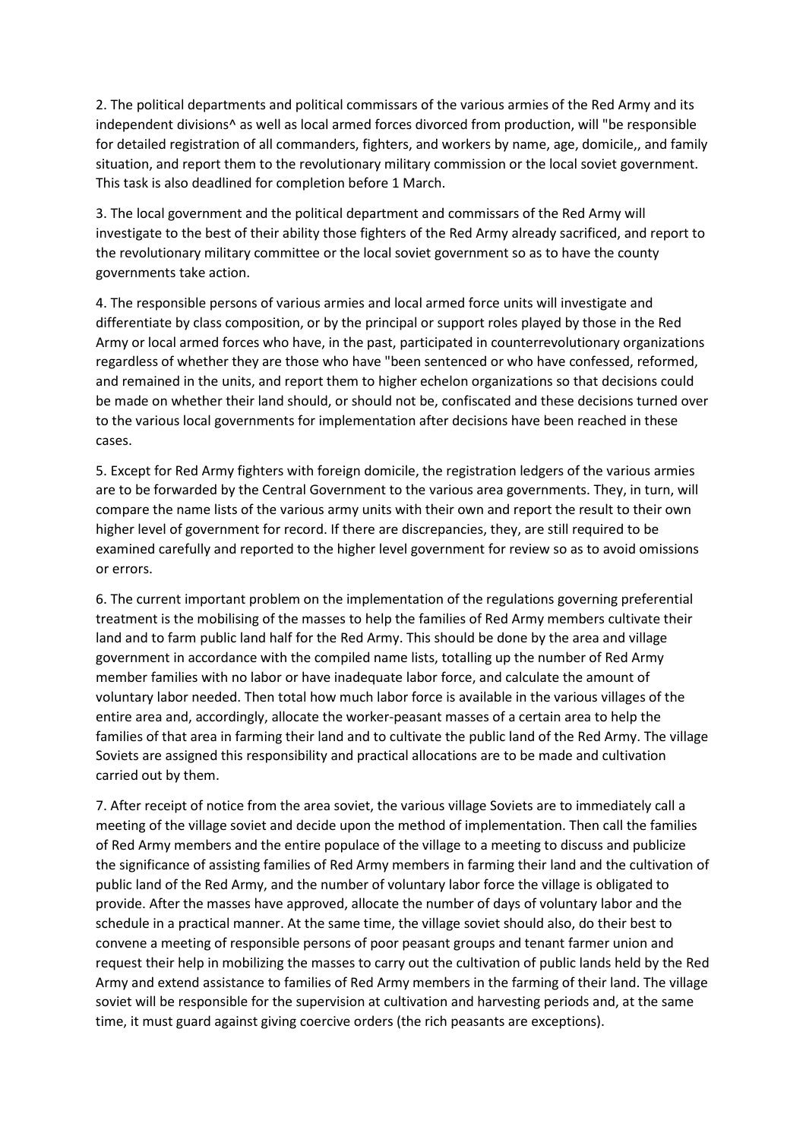2. The political departments and political commissars of the various armies of the Red Army and its independent divisions<sup>^</sup> as well as local armed forces divorced from production, will "be responsible for detailed registration of all commanders, fighters, and workers by name, age, domicile,, and family situation, and report them to the revolutionary military commission or the local soviet government. This task is also deadlined for completion before 1 March.

3. The local government and the political department and commissars of the Red Army will investigate to the best of their ability those fighters of the Red Army already sacrificed, and report to the revolutionary military committee or the local soviet government so as to have the county governments take action.

4. The responsible persons of various armies and local armed force units will investigate and differentiate by class composition, or by the principal or support roles played by those in the Red Army or local armed forces who have, in the past, participated in counterrevolutionary organizations regardless of whether they are those who have "been sentenced or who have confessed, reformed, and remained in the units, and report them to higher echelon organizations so that decisions could be made on whether their land should, or should not be, confiscated and these decisions turned over to the various local governments for implementation after decisions have been reached in these cases.

5. Except for Red Army fighters with foreign domicile, the registration ledgers of the various armies are to be forwarded by the Central Government to the various area governments. They, in turn, will compare the name lists of the various army units with their own and report the result to their own higher level of government for record. If there are discrepancies, they, are still required to be examined carefully and reported to the higher level government for review so as to avoid omissions or errors.

6. The current important problem on the implementation of the regulations governing preferential treatment is the mobilising of the masses to help the families of Red Army members cultivate their land and to farm public land half for the Red Army. This should be done by the area and village government in accordance with the compiled name lists, totalling up the number of Red Army member families with no labor or have inadequate labor force, and calculate the amount of voluntary labor needed. Then total how much labor force is available in the various villages of the entire area and, accordingly, allocate the worker-peasant masses of a certain area to help the families of that area in farming their land and to cultivate the public land of the Red Army. The village Soviets are assigned this responsibility and practical allocations are to be made and cultivation carried out by them.

7. After receipt of notice from the area soviet, the various village Soviets are to immediately call a meeting of the village soviet and decide upon the method of implementation. Then call the families of Red Army members and the entire populace of the village to a meeting to discuss and publicize the significance of assisting families of Red Army members in farming their land and the cultivation of public land of the Red Army, and the number of voluntary labor force the village is obligated to provide. After the masses have approved, allocate the number of days of voluntary labor and the schedule in a practical manner. At the same time, the village soviet should also, do their best to convene a meeting of responsible persons of poor peasant groups and tenant farmer union and request their help in mobilizing the masses to carry out the cultivation of public lands held by the Red Army and extend assistance to families of Red Army members in the farming of their land. The village soviet will be responsible for the supervision at cultivation and harvesting periods and, at the same time, it must guard against giving coercive orders (the rich peasants are exceptions).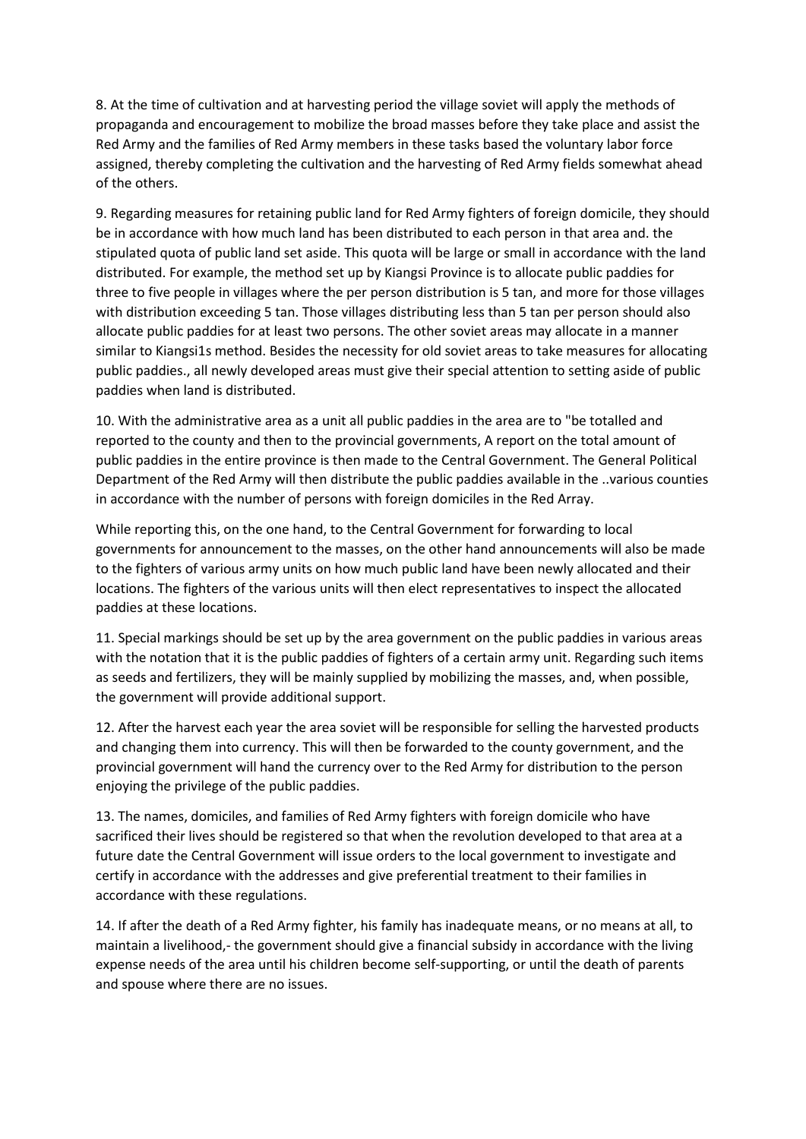8. At the time of cultivation and at harvesting period the village soviet will apply the methods of propaganda and encouragement to mobilize the broad masses before they take place and assist the Red Army and the families of Red Army members in these tasks based the voluntary labor force assigned, thereby completing the cultivation and the harvesting of Red Army fields somewhat ahead of the others.

9. Regarding measures for retaining public land for Red Army fighters of foreign domicile, they should be in accordance with how much land has been distributed to each person in that area and. the stipulated quota of public land set aside. This quota will be large or small in accordance with the land distributed. For example, the method set up by Kiangsi Province is to allocate public paddies for three to five people in villages where the per person distribution is 5 tan, and more for those villages with distribution exceeding 5 tan. Those villages distributing less than 5 tan per person should also allocate public paddies for at least two persons. The other soviet areas may allocate in a manner similar to Kiangsi1s method. Besides the necessity for old soviet areas to take measures for allocating public paddies., all newly developed areas must give their special attention to setting aside of public paddies when land is distributed.

10. With the administrative area as a unit all public paddies in the area are to "be totalled and reported to the county and then to the provincial governments, A report on the total amount of public paddies in the entire province is then made to the Central Government. The General Political Department of the Red Army will then distribute the public paddies available in the ..various counties in accordance with the number of persons with foreign domiciles in the Red Array.

While reporting this, on the one hand, to the Central Government for forwarding to local governments for announcement to the masses, on the other hand announcements will also be made to the fighters of various army units on how much public land have been newly allocated and their locations. The fighters of the various units will then elect representatives to inspect the allocated paddies at these locations.

11. Special markings should be set up by the area government on the public paddies in various areas with the notation that it is the public paddies of fighters of a certain army unit. Regarding such items as seeds and fertilizers, they will be mainly supplied by mobilizing the masses, and, when possible, the government will provide additional support.

12. After the harvest each year the area soviet will be responsible for selling the harvested products and changing them into currency. This will then be forwarded to the county government, and the provincial government will hand the currency over to the Red Army for distribution to the person enjoying the privilege of the public paddies.

13. The names, domiciles, and families of Red Army fighters with foreign domicile who have sacrificed their lives should be registered so that when the revolution developed to that area at a future date the Central Government will issue orders to the local government to investigate and certify in accordance with the addresses and give preferential treatment to their families in accordance with these regulations.

14. If after the death of a Red Army fighter, his family has inadequate means, or no means at all, to maintain a livelihood,- the government should give a financial subsidy in accordance with the living expense needs of the area until his children become self-supporting, or until the death of parents and spouse where there are no issues.